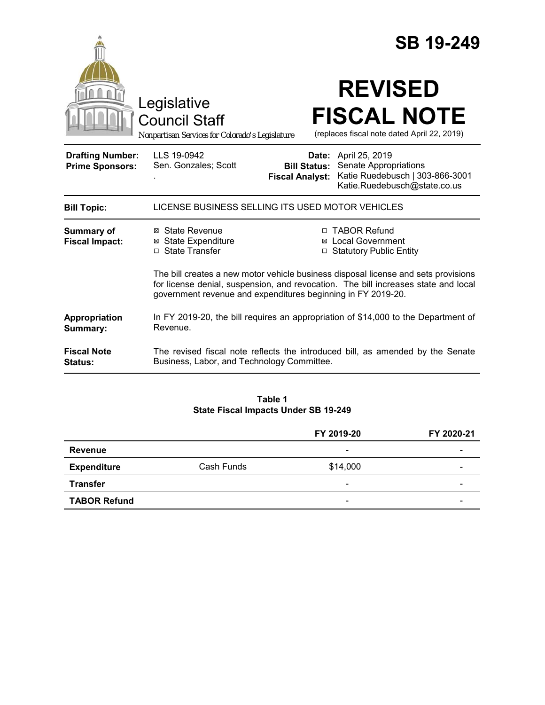|                                                   |                                                                                                                                                                                                                                          |                                               | <b>SB 19-249</b>                                                                                                 |  |
|---------------------------------------------------|------------------------------------------------------------------------------------------------------------------------------------------------------------------------------------------------------------------------------------------|-----------------------------------------------|------------------------------------------------------------------------------------------------------------------|--|
|                                                   | Legislative<br><b>Council Staff</b><br>Nonpartisan Services for Colorado's Legislature                                                                                                                                                   |                                               | <b>REVISED</b><br><b>FISCAL NOTE</b><br>(replaces fiscal note dated April 22, 2019)                              |  |
| <b>Drafting Number:</b><br><b>Prime Sponsors:</b> | LLS 19-0942<br>Sen. Gonzales; Scott                                                                                                                                                                                                      | <b>Bill Status:</b><br><b>Fiscal Analyst:</b> | Date: April 25, 2019<br>Senate Appropriations<br>Katie Ruedebusch   303-866-3001<br>Katie.Ruedebusch@state.co.us |  |
| <b>Bill Topic:</b>                                | LICENSE BUSINESS SELLING ITS USED MOTOR VEHICLES                                                                                                                                                                                         |                                               |                                                                                                                  |  |
| <b>Summary of</b><br><b>Fiscal Impact:</b>        | ⊠ State Revenue<br><b>⊠</b> State Expenditure<br>$\Box$ State Transfer                                                                                                                                                                   |                                               | □ TABOR Refund<br>⊠ Local Government<br>□ Statutory Public Entity                                                |  |
|                                                   | The bill creates a new motor vehicle business disposal license and sets provisions<br>for license denial, suspension, and revocation. The bill increases state and local<br>government revenue and expenditures beginning in FY 2019-20. |                                               |                                                                                                                  |  |
| Appropriation<br>Summary:                         | In FY 2019-20, the bill requires an appropriation of \$14,000 to the Department of<br>Revenue.                                                                                                                                           |                                               |                                                                                                                  |  |
| <b>Fiscal Note</b><br><b>Status:</b>              | Business, Labor, and Technology Committee.                                                                                                                                                                                               |                                               | The revised fiscal note reflects the introduced bill, as amended by the Senate                                   |  |

#### **Table 1 State Fiscal Impacts Under SB 19-249**

|                     |            | FY 2019-20               | FY 2020-21 |
|---------------------|------------|--------------------------|------------|
| Revenue             |            | $\overline{\phantom{0}}$ |            |
| <b>Expenditure</b>  | Cash Funds | \$14,000                 | -          |
| <b>Transfer</b>     |            | $\overline{\phantom{0}}$ | -          |
| <b>TABOR Refund</b> |            | $\overline{\phantom{0}}$ |            |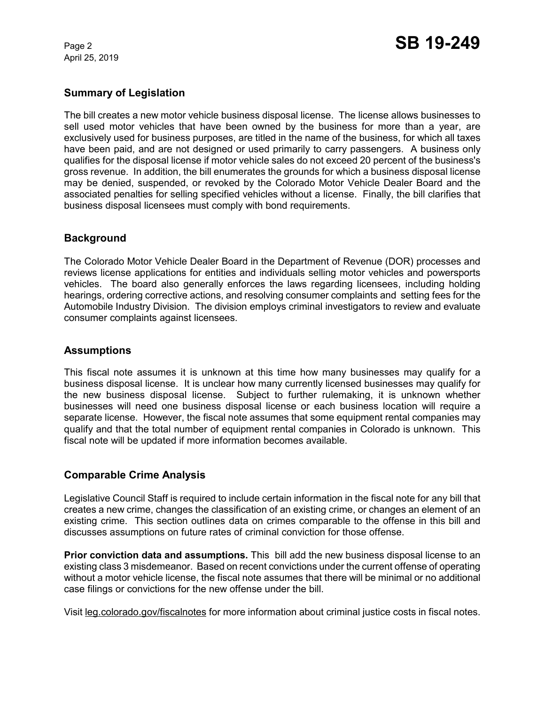April 25, 2019

# **Summary of Legislation**

The bill creates a new motor vehicle business disposal license. The license allows businesses to sell used motor vehicles that have been owned by the business for more than a year, are exclusively used for business purposes, are titled in the name of the business, for which all taxes have been paid, and are not designed or used primarily to carry passengers. A business only qualifies for the disposal license if motor vehicle sales do not exceed 20 percent of the business's gross revenue. In addition, the bill enumerates the grounds for which a business disposal license may be denied, suspended, or revoked by the Colorado Motor Vehicle Dealer Board and the associated penalties for selling specified vehicles without a license. Finally, the bill clarifies that business disposal licensees must comply with bond requirements.

# **Background**

The Colorado Motor Vehicle Dealer Board in the Department of Revenue (DOR) processes and reviews license applications for entities and individuals selling motor vehicles and powersports vehicles. The board also generally enforces the laws regarding licensees, including holding hearings, ordering corrective actions, and resolving consumer complaints and setting fees for the Automobile Industry Division. The division employs criminal investigators to review and evaluate consumer complaints against licensees.

#### **Assumptions**

This fiscal note assumes it is unknown at this time how many businesses may qualify for a business disposal license. It is unclear how many currently licensed businesses may qualify for the new business disposal license. Subject to further rulemaking, it is unknown whether businesses will need one business disposal license or each business location will require a separate license. However, the fiscal note assumes that some equipment rental companies may qualify and that the total number of equipment rental companies in Colorado is unknown. This fiscal note will be updated if more information becomes available.

### **Comparable Crime Analysis**

Legislative Council Staff is required to include certain information in the fiscal note for any bill that creates a new crime, changes the classification of an existing crime, or changes an element of an existing crime. This section outlines data on crimes comparable to the offense in this bill and discusses assumptions on future rates of criminal conviction for those offense.

**Prior conviction data and assumptions.** This bill add the new business disposal license to an existing class 3 misdemeanor. Based on recent convictions under the current offense of operating without a motor vehicle license, the fiscal note assumes that there will be minimal or no additional case filings or convictions for the new offense under the bill.

Visit leg.colorado.gov/fiscalnotes for more information about criminal justice costs in fiscal notes.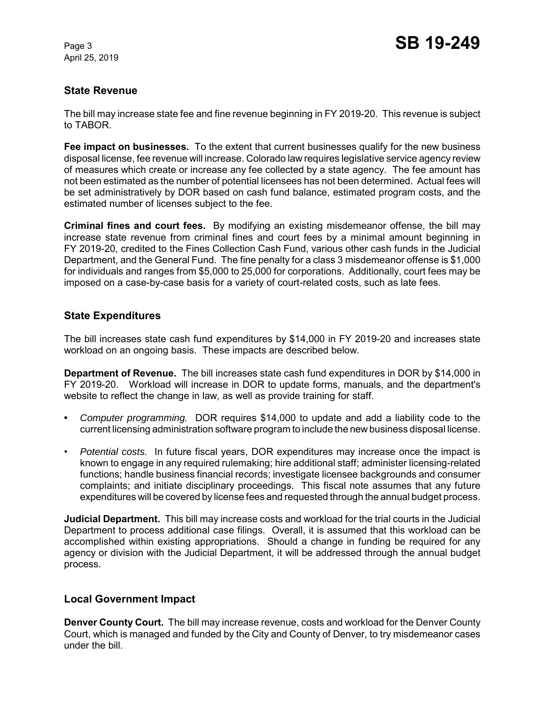April 25, 2019

# **State Revenue**

The bill may increase state fee and fine revenue beginning in FY 2019-20. This revenue is subject to TABOR.

**Fee impact on businesses.** To the extent that current businesses qualify for the new business disposal license, fee revenue will increase. Colorado law requires legislative service agency review of measures which create or increase any fee collected by a state agency. The fee amount has not been estimated as the number of potential licensees has not been determined. Actual fees will be set administratively by DOR based on cash fund balance, estimated program costs, and the estimated number of licenses subject to the fee.

**Criminal fines and court fees.** By modifying an existing misdemeanor offense, the bill may increase state revenue from criminal fines and court fees by a minimal amount beginning in FY 2019-20, credited to the Fines Collection Cash Fund, various other cash funds in the Judicial Department, and the General Fund. The fine penalty for a class 3 misdemeanor offense is \$1,000 for individuals and ranges from \$5,000 to 25,000 for corporations. Additionally, court fees may be imposed on a case-by-case basis for a variety of court-related costs, such as late fees.

### **State Expenditures**

The bill increases state cash fund expenditures by \$14,000 in FY 2019-20 and increases state workload on an ongoing basis. These impacts are described below.

**Department of Revenue.** The bill increases state cash fund expenditures in DOR by \$14,000 in FY 2019-20. Workload will increase in DOR to update forms, manuals, and the department's website to reflect the change in law, as well as provide training for staff.

- **•** *Computer programming.*DOR requires \$14,000 to update and add a liability code to the current licensing administration software program to include the new business disposal license.
- *Potential costs.* In future fiscal years, DOR expenditures may increase once the impact is known to engage in any required rulemaking; hire additional staff; administer licensing-related functions; handle business financial records; investigate licensee backgrounds and consumer complaints; and initiate disciplinary proceedings. This fiscal note assumes that any future expenditures will be covered by license fees and requested through the annual budget process.

**Judicial Department.** This bill may increase costs and workload for the trial courts in the Judicial Department to process additional case filings. Overall, it is assumed that this workload can be accomplished within existing appropriations. Should a change in funding be required for any agency or division with the Judicial Department, it will be addressed through the annual budget process.

### **Local Government Impact**

**Denver County Court.** The bill may increase revenue, costs and workload for the Denver County Court, which is managed and funded by the City and County of Denver, to try misdemeanor cases under the bill.